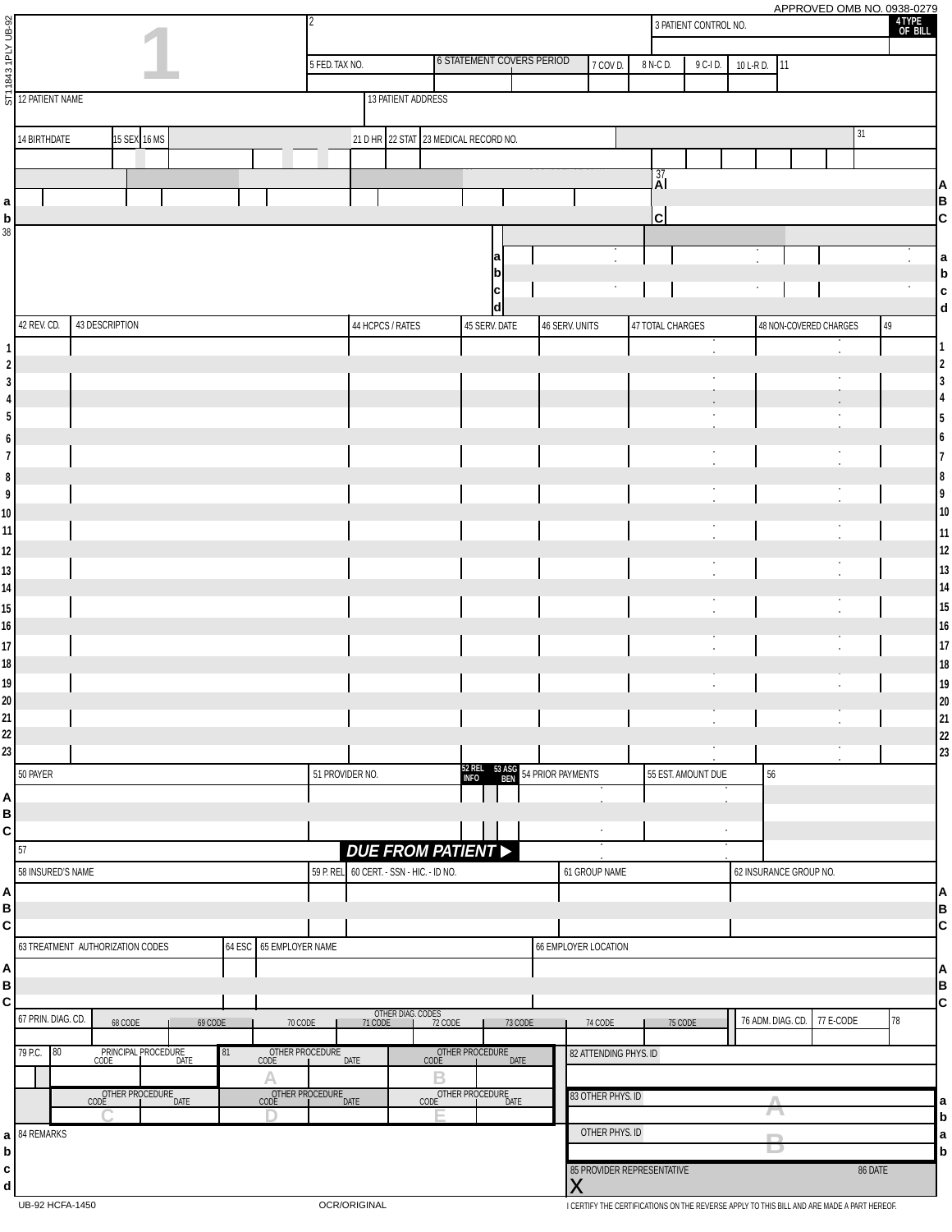| ST11843 1PLY UB-92                            |                                  |                                              |         |        |                                       | APPROVED OMB NO. 0938-0279<br>4 TYPE<br>OF BILL<br>3 PATIENT CONTROL NO. |                                          |                                            |      |                                       |         |                |                            |                  |                      |            |                        |                             |         |                                         |
|-----------------------------------------------|----------------------------------|----------------------------------------------|---------|--------|---------------------------------------|--------------------------------------------------------------------------|------------------------------------------|--------------------------------------------|------|---------------------------------------|---------|----------------|----------------------------|------------------|----------------------|------------|------------------------|-----------------------------|---------|-----------------------------------------|
|                                               |                                  |                                              |         |        |                                       | 5 FED. TAX NO.                                                           |                                          |                                            |      | <b>6 STATEMENT COVERS PERIOD</b>      |         |                | 7 COV D.                   | 8 N-C D.         | 9 C-I D.             | 10 L-R D.  | 11                     |                             |         |                                         |
|                                               |                                  |                                              |         |        |                                       |                                                                          |                                          |                                            |      |                                       |         |                |                            |                  |                      |            |                        |                             |         |                                         |
|                                               | 12 PATIENT NAME                  |                                              |         |        |                                       |                                                                          |                                          | 13 PATIENT ADDRESS                         |      |                                       |         |                |                            |                  |                      |            |                        |                             |         |                                         |
|                                               | 14 BIRTHDATE                     | 15 SEX 16 MS                                 |         |        |                                       |                                                                          |                                          |                                            |      | 21 D HR 22 STAT 23 MEDICAL RECORD NO. |         |                |                            |                  |                      |            |                        |                             | 31      |                                         |
|                                               |                                  |                                              |         |        |                                       |                                                                          |                                          |                                            |      |                                       |         |                |                            |                  |                      |            |                        |                             |         |                                         |
|                                               |                                  |                                              |         |        |                                       |                                                                          |                                          |                                            |      |                                       |         |                |                            | $\frac{37}{4}$   |                      |            |                        |                             |         | A                                       |
| a                                             |                                  |                                              |         |        |                                       |                                                                          |                                          |                                            |      |                                       |         |                |                            |                  |                      |            |                        |                             |         | B                                       |
| b<br>38                                       |                                  |                                              |         |        |                                       |                                                                          |                                          |                                            |      |                                       |         |                |                            | $\mathbf{C}$     |                      |            |                        |                             |         | c                                       |
|                                               |                                  |                                              |         |        |                                       |                                                                          |                                          |                                            |      |                                       |         |                |                            |                  |                      |            |                        |                             |         | a                                       |
|                                               |                                  |                                              |         |        |                                       |                                                                          |                                          |                                            |      |                                       |         |                |                            |                  |                      |            |                        |                             |         | b                                       |
|                                               |                                  |                                              |         |        |                                       |                                                                          |                                          |                                            |      | IC<br>ld                              |         |                | $\bullet$                  |                  |                      | $\sim$     |                        |                             |         | l c<br>$\mathbf d$                      |
|                                               | 43 DESCRIPTION<br>42 REV. CD.    |                                              |         |        |                                       |                                                                          |                                          | 44 HCPCS / RATES                           |      | 45 SERV. DATE                         |         | 46 SERV. UNITS |                            | 47 TOTAL CHARGES |                      |            |                        | 48 NON-COVERED CHARGES      | $49\,$  |                                         |
| $\mathbf{1}$                                  |                                  |                                              |         |        |                                       |                                                                          |                                          |                                            |      |                                       |         |                |                            |                  | $\ddot{\phantom{0}}$ |            |                        |                             |         | l 1                                     |
| $\begin{array}{c} 2 \\ 3 \end{array}$         |                                  |                                              |         |        |                                       |                                                                          |                                          |                                            |      |                                       |         |                |                            |                  | ٠                    |            |                        | $\bullet$                   |         | $\overline{\mathbf{2}}$<br>3            |
| $\overline{\mathbf{4}}$                       |                                  |                                              |         |        |                                       |                                                                          |                                          |                                            |      |                                       |         |                |                            |                  |                      |            |                        |                             |         |                                         |
| $\sqrt{5}$                                    |                                  |                                              |         |        |                                       |                                                                          |                                          |                                            |      |                                       |         |                |                            |                  |                      |            |                        |                             |         |                                         |
| $\begin{array}{c} 6 \\ 7 \end{array}$         |                                  |                                              |         |        |                                       |                                                                          |                                          |                                            |      |                                       |         |                |                            |                  |                      |            |                        |                             |         | 16                                      |
|                                               |                                  |                                              |         |        |                                       |                                                                          |                                          |                                            |      |                                       |         |                |                            |                  | $\ddot{\phantom{0}}$ |            |                        | $\bullet$                   |         | 7                                       |
| $\begin{array}{c} 8 \\ 9 \end{array}$         |                                  |                                              |         |        |                                       |                                                                          |                                          |                                            |      |                                       |         |                |                            |                  |                      |            |                        |                             |         | 8<br>9                                  |
| 10                                            |                                  |                                              |         |        |                                       |                                                                          |                                          |                                            |      |                                       |         |                |                            |                  | $\bullet$            |            |                        | $\bullet$                   |         | 10                                      |
| 11                                            |                                  |                                              |         |        |                                       |                                                                          |                                          |                                            |      |                                       |         |                |                            |                  | ٠<br>$\bullet$       |            |                        | ٠<br>$\bullet$              |         | 11                                      |
| 12                                            |                                  |                                              |         |        |                                       |                                                                          |                                          |                                            |      |                                       |         |                |                            |                  | ٠                    |            |                        | ٠                           |         | 12                                      |
| 13<br>14                                      |                                  |                                              |         |        |                                       |                                                                          |                                          |                                            |      |                                       |         |                |                            |                  | $\bullet$            |            |                        | $\bullet$                   |         | 13<br>14                                |
| $15\,$                                        |                                  |                                              |         |        |                                       |                                                                          |                                          |                                            |      |                                       |         |                |                            |                  | $\bullet$            |            |                        | $\bullet$                   |         | 15                                      |
| 16                                            |                                  |                                              |         |        |                                       |                                                                          |                                          |                                            |      |                                       |         |                |                            |                  |                      |            |                        |                             |         | 16                                      |
| 17                                            |                                  |                                              |         |        |                                       |                                                                          |                                          |                                            |      |                                       |         |                |                            |                  |                      |            |                        |                             |         | 17                                      |
| 18<br>$19$                                    |                                  |                                              |         |        |                                       |                                                                          |                                          |                                            |      |                                       |         |                |                            |                  |                      |            |                        |                             |         | 18<br>19                                |
| 20 <sup>1</sup>                               |                                  |                                              |         |        |                                       |                                                                          |                                          |                                            |      |                                       |         |                |                            |                  |                      |            |                        |                             |         | 20                                      |
|                                               |                                  |                                              |         |        |                                       |                                                                          |                                          |                                            |      |                                       |         |                |                            |                  |                      |            |                        |                             |         | 21                                      |
| $\begin{array}{c} 21 \\ 22 \\ 23 \end{array}$ |                                  |                                              |         |        |                                       |                                                                          |                                          |                                            |      |                                       |         |                |                            |                  |                      |            |                        |                             |         | $\begin{array}{c} 22 \\ 23 \end{array}$ |
|                                               | 50 PAYER                         |                                              |         |        |                                       |                                                                          | 51 PROVIDER NO.                          |                                            |      | 52 REL 53 ASG 54 PRIOR PAYMENTS       |         |                |                            |                  | 55 EST. AMOUNT DUE   | 56         |                        |                             |         |                                         |
|                                               |                                  |                                              |         |        |                                       |                                                                          |                                          |                                            |      |                                       |         |                |                            |                  |                      |            |                        |                             |         |                                         |
| A<br>B<br>C                                   |                                  |                                              |         |        |                                       |                                                                          |                                          |                                            |      |                                       |         |                |                            |                  |                      |            |                        |                             |         |                                         |
|                                               | 57                               |                                              |         |        |                                       |                                                                          |                                          |                                            |      |                                       |         |                | $\bullet$                  |                  | $\bullet$            |            |                        |                             |         |                                         |
|                                               | 58 INSURED'S NAME                |                                              |         |        |                                       |                                                                          | 59 P. REL 60 CERT. - SSN - HIC. - ID NO. |                                            |      | <b>DUE FROM PATIENT &gt;</b>          |         |                | 61 GROUP NAME              |                  |                      |            | 62 INSURANCE GROUP NO. |                             |         |                                         |
|                                               |                                  |                                              |         |        |                                       |                                                                          |                                          |                                            |      |                                       |         |                |                            |                  |                      |            |                        |                             |         | ΙA                                      |
| A<br>B<br>C                                   |                                  |                                              |         |        |                                       |                                                                          |                                          |                                            |      |                                       |         |                |                            |                  |                      |            |                        |                             |         | $\overline{c}$                          |
|                                               |                                  |                                              |         |        |                                       |                                                                          |                                          |                                            |      |                                       |         |                |                            |                  |                      |            |                        |                             |         |                                         |
|                                               | 63 TREATMENT AUTHORIZATION CODES |                                              |         | 64 ESC | 65 EMPLOYER NAME                      |                                                                          |                                          |                                            |      |                                       |         |                | 66 EMPLOYER LOCATION       |                  |                      |            |                        |                             |         |                                         |
| A<br>B<br>C                                   |                                  |                                              |         |        |                                       |                                                                          |                                          |                                            |      |                                       |         |                |                            |                  |                      |            |                        |                             |         | A<br>$\frac{B}{C}$                      |
|                                               |                                  |                                              |         |        |                                       |                                                                          |                                          |                                            |      |                                       |         |                |                            |                  |                      |            |                        |                             |         |                                         |
|                                               | 67 PRIN. DIAG. CD.               | 68 CODE                                      | 69 CODE |        | 70 CODE                               |                                                                          | 71 CODE                                  | OTHER DIAG. CODES<br>CODE <b>1</b> 72 CODE |      |                                       | 73 CODE |                | 74 CODE                    |                  | 75 CODE              |            |                        | 76 ADM. DIAG. CD. 77 E-CODE |         | 78                                      |
|                                               | 79 P.C. 80                       | PRINCIPAL PROCEDURE<br>CODE <b>CODE</b> DATE |         | 81     | OTHER PROCEDURE<br>CODE               |                                                                          | DATE                                     |                                            | CODE | OTHER PROCEDURE                       | DATE    |                | 82 ATTENDING PHYS. ID      |                  |                      |            |                        |                             |         |                                         |
|                                               |                                  |                                              | В       |        |                                       |                                                                          |                                          |                                            |      |                                       |         |                |                            |                  |                      |            |                        |                             |         |                                         |
|                                               |                                  | OTHER PROCEDURE<br>CODE <b>I</b> DATE        |         |        | OTHER PROCEDURE<br>CODE <b>I</b> DATE |                                                                          |                                          |                                            |      | OTHER PROCEDURE<br>CODE DATE          |         |                | 83 OTHER PHYS. ID          |                  |                      | Λ          |                        |                             |         | a                                       |
|                                               | 84 REMARKS                       |                                              |         |        |                                       |                                                                          |                                          |                                            |      |                                       |         |                | OTHER PHYS. ID             |                  |                      | $\sqrt{2}$ |                        |                             |         | $\mathbf b$                             |
| a                                             |                                  |                                              |         |        |                                       |                                                                          |                                          |                                            |      |                                       |         |                |                            |                  |                      |            |                        |                             |         | a<br>$\mathbf b$                        |
| b<br>c<br>d                                   |                                  |                                              |         |        |                                       |                                                                          |                                          |                                            |      |                                       |         |                | 85 PROVIDER REPRESENTATIVE |                  |                      |            |                        |                             | 86 DATE |                                         |
|                                               |                                  |                                              |         |        |                                       |                                                                          |                                          |                                            |      |                                       |         | X              |                            |                  |                      |            |                        |                             |         |                                         |

UB-92 HCFA-1450 **OCR/ORIGINAL OCR/ORIGINAL OCR/ORIGINAL I CERTIFY THE CERTIFICATIONS ON THE REVERSE APPLY TO THIS BILL AND ARE MADE A PART HEREOF.**